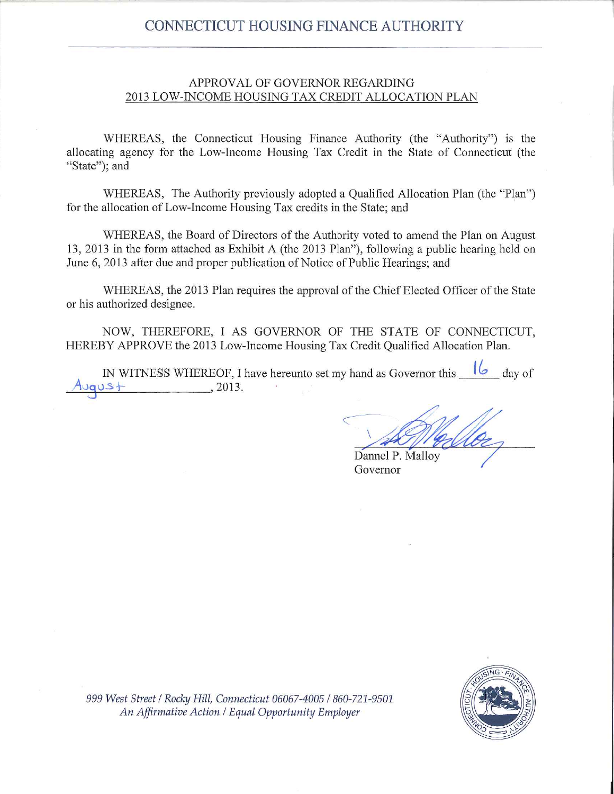# **CONNECTICUT HOUSING FINANCE AUTHORITY**

#### APPROVAL OF GOVERNOR REGARDING 2013 LOW-INCOME HOUSING TAX CREDIT ALLOCATION PLAN

WHEREAS, the Connecticut Housing Finance Authority (the "Authority") is the allocating agency for the Low-Income Housing Tax Credit in the State of Connecticut (the "State"; and

WHEREAS, The Authority previously adopted a Qualified Allocation Plan (the "Plan") for the allocation of Low-Income Housing Tax credits in the State; and

WHEREAS, the Board of Directors of the Authority voted to amend the Plan on August 13, 2013 in the form attached as Exhibit A (the 2013 Plan"), following a public hearing held on June 6, 2013 after due and proper publication of Notice of Public Hearings; and

WHEREAS, the 2013 Plan requires the approval of the Chief Elected Officer of the State or his authorized designee.

NOW, THEREFORE, I AS GOVERNOR OF THE STATE OF CONNECTICUT, HEREBY APPROVE the 2013 Low-Income Housing Tax Credit Qualified Allocation Plan.

IN WITNESS WHEREOF, I have hereunto set my hand as Governor this  $\frac{1}{6}$  day of  $, 2013.$ 

Dannel P. Malloy

Governor



999 West Street / Rocky Hill, Connecticut 06067-4005 / 860-721-9501 An Affirmative Action / Equal Opportunity Employer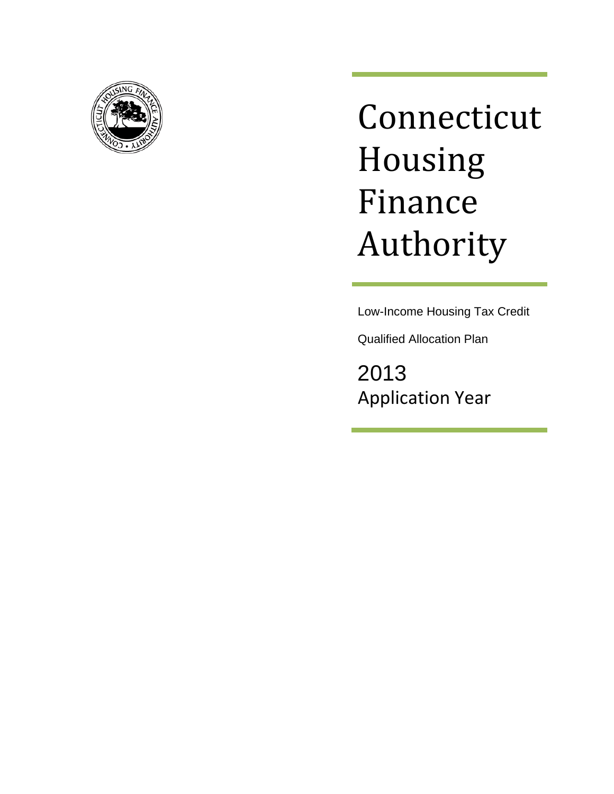

# Connecticut Housing Finance Authority

Low-Income Housing Tax Credit

Qualified Allocation Plan

2013 Application Year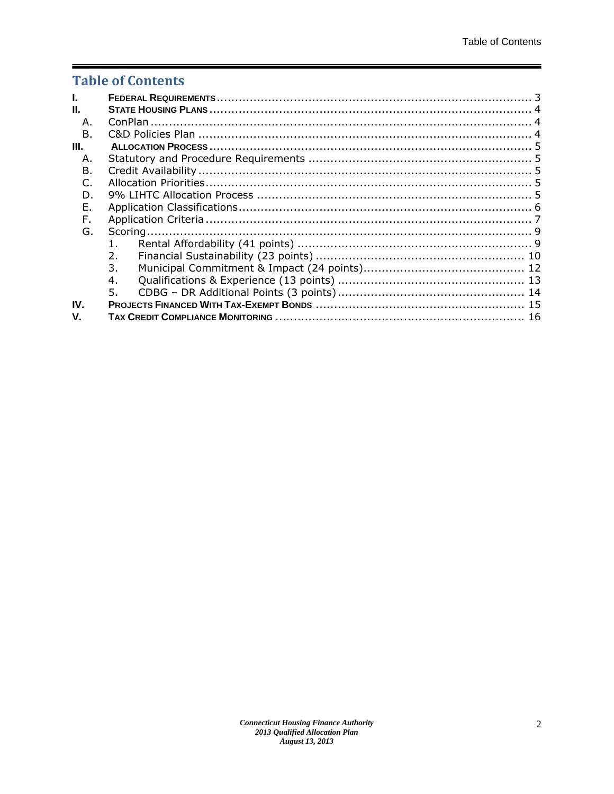# **Table of Contents**

| Ī.            |         |  |
|---------------|---------|--|
| Ш.            |         |  |
| А.            |         |  |
| $\mathsf B$ . |         |  |
| Ш.            |         |  |
| А.            |         |  |
| В.            |         |  |
|               |         |  |
| D.            |         |  |
| Ε.            |         |  |
| F.            |         |  |
| G.            |         |  |
|               | $1_{-}$ |  |
|               | 2.      |  |
|               | 3.      |  |
|               | 4.      |  |
|               | 5.      |  |
| IV.           |         |  |
| V.            |         |  |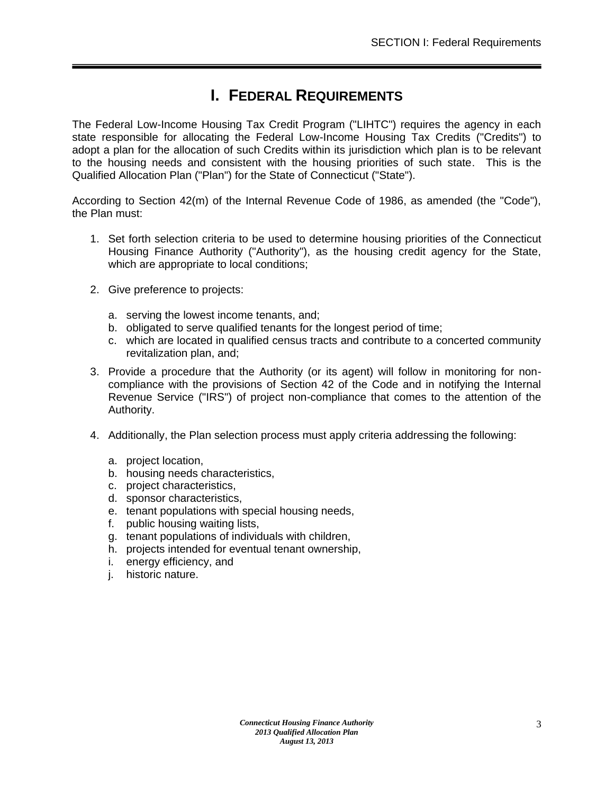# **I. FEDERAL REQUIREMENTS**

<span id="page-3-0"></span>The Federal Low-Income Housing Tax Credit Program ("LIHTC") requires the agency in each state responsible for allocating the Federal Low-Income Housing Tax Credits ("Credits") to adopt a plan for the allocation of such Credits within its jurisdiction which plan is to be relevant to the housing needs and consistent with the housing priorities of such state. This is the Qualified Allocation Plan ("Plan") for the State of Connecticut ("State").

According to Section 42(m) of the Internal Revenue Code of 1986, as amended (the "Code"), the Plan must:

- 1. Set forth selection criteria to be used to determine housing priorities of the Connecticut Housing Finance Authority ("Authority"), as the housing credit agency for the State, which are appropriate to local conditions;
- 2. Give preference to projects:
	- a. serving the lowest income tenants, and;
	- b. obligated to serve qualified tenants for the longest period of time;
	- c. which are located in qualified census tracts and contribute to a concerted community revitalization plan, and;
- 3. Provide a procedure that the Authority (or its agent) will follow in monitoring for noncompliance with the provisions of Section 42 of the Code and in notifying the Internal Revenue Service ("IRS") of project non-compliance that comes to the attention of the Authority.
- 4. Additionally, the Plan selection process must apply criteria addressing the following:
	- a. project location,
	- b. housing needs characteristics,
	- c. project characteristics,
	- d. sponsor characteristics,
	- e. tenant populations with special housing needs,
	- f. public housing waiting lists,
	- g. tenant populations of individuals with children,
	- h. projects intended for eventual tenant ownership,
	- i. energy efficiency, and
	- j. historic nature.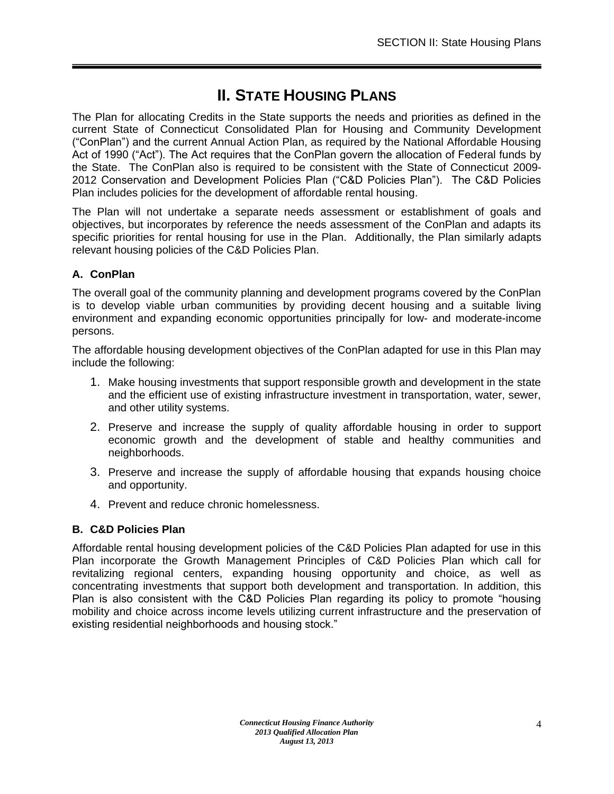# **II. STATE HOUSING PLANS**

<span id="page-4-0"></span>The Plan for allocating Credits in the State supports the needs and priorities as defined in the current State of Connecticut Consolidated Plan for Housing and Community Development ("ConPlan") and the current Annual Action Plan, as required by the National Affordable Housing Act of 1990 ("Act"). The Act requires that the ConPlan govern the allocation of Federal funds by the State. The ConPlan also is required to be consistent with the State of Connecticut 2009- 2012 Conservation and Development Policies Plan ("C&D Policies Plan"). The C&D Policies Plan includes policies for the development of affordable rental housing.

The Plan will not undertake a separate needs assessment or establishment of goals and objectives, but incorporates by reference the needs assessment of the ConPlan and adapts its specific priorities for rental housing for use in the Plan. Additionally, the Plan similarly adapts relevant housing policies of the C&D Policies Plan.

# <span id="page-4-1"></span>**A. ConPlan**

The overall goal of the community planning and development programs covered by the ConPlan is to develop viable urban communities by providing decent housing and a suitable living environment and expanding economic opportunities principally for low- and moderate-income persons.

The affordable housing development objectives of the ConPlan adapted for use in this Plan may include the following:

- 1. Make housing investments that support responsible growth and development in the state and the efficient use of existing infrastructure investment in transportation, water, sewer, and other utility systems.
- 2. Preserve and increase the supply of quality affordable housing in order to support economic growth and the development of stable and healthy communities and neighborhoods.
- 3. Preserve and increase the supply of affordable housing that expands housing choice and opportunity.
- 4. Prevent and reduce chronic homelessness.

# <span id="page-4-2"></span>**B. C&D Policies Plan**

Affordable rental housing development policies of the C&D Policies Plan adapted for use in this Plan incorporate the Growth Management Principles of C&D Policies Plan which call for revitalizing regional centers, expanding housing opportunity and choice, as well as concentrating investments that support both development and transportation. In addition, this Plan is also consistent with the C&D Policies Plan regarding its policy to promote "housing mobility and choice across income levels utilizing current infrastructure and the preservation of existing residential neighborhoods and housing stock."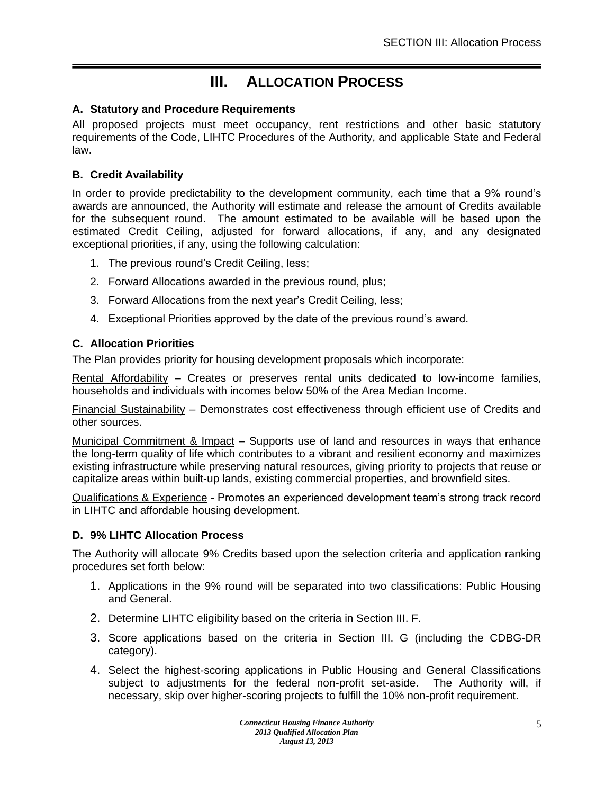# **III. ALLOCATION PROCESS**

## <span id="page-5-1"></span><span id="page-5-0"></span>**A. Statutory and Procedure Requirements**

All proposed projects must meet occupancy, rent restrictions and other basic statutory requirements of the Code, LIHTC Procedures of the Authority, and applicable State and Federal law.

## <span id="page-5-2"></span>**B. Credit Availability**

In order to provide predictability to the development community, each time that a 9% round's awards are announced, the Authority will estimate and release the amount of Credits available for the subsequent round. The amount estimated to be available will be based upon the estimated Credit Ceiling, adjusted for forward allocations, if any, and any designated exceptional priorities, if any, using the following calculation:

- 1. The previous round's Credit Ceiling, less;
- 2. Forward Allocations awarded in the previous round, plus;
- 3. Forward Allocations from the next year's Credit Ceiling, less;
- 4. Exceptional Priorities approved by the date of the previous round's award.

# <span id="page-5-3"></span>**C. Allocation Priorities**

The Plan provides priority for housing development proposals which incorporate:

Rental Affordability – Creates or preserves rental units dedicated to low-income families, households and individuals with incomes below 50% of the Area Median Income.

Financial Sustainability – Demonstrates cost effectiveness through efficient use of Credits and other sources.

Municipal Commitment & Impact – Supports use of land and resources in ways that enhance the long-term quality of life which contributes to a vibrant and resilient economy and maximizes existing infrastructure while preserving natural resources, giving priority to projects that reuse or capitalize areas within built-up lands, existing commercial properties, and brownfield sites.

Qualifications & Experience - Promotes an experienced development team's strong track record in LIHTC and affordable housing development.

## <span id="page-5-4"></span>**D. 9% LIHTC Allocation Process**

The Authority will allocate 9% Credits based upon the selection criteria and application ranking procedures set forth below:

- 1. Applications in the 9% round will be separated into two classifications: Public Housing and General.
- 2. Determine LIHTC eligibility based on the criteria in Section III. F.
- 3. Score applications based on the criteria in Section III. G (including the CDBG-DR category).
- 4. Select the highest-scoring applications in Public Housing and General Classifications subject to adjustments for the federal non-profit set-aside. The Authority will, if necessary, skip over higher-scoring projects to fulfill the 10% non-profit requirement.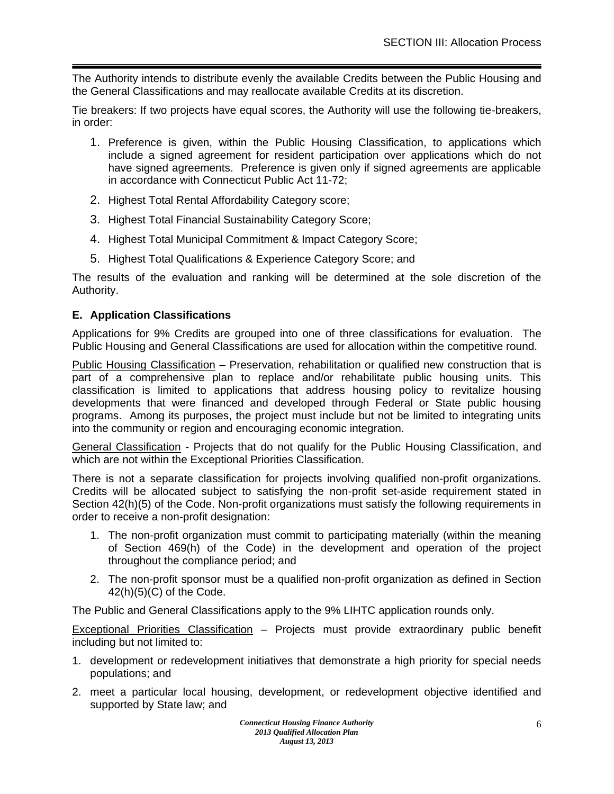The Authority intends to distribute evenly the available Credits between the Public Housing and the General Classifications and may reallocate available Credits at its discretion.

Tie breakers: If two projects have equal scores, the Authority will use the following tie-breakers, in order:

- 1. Preference is given, within the Public Housing Classification, to applications which include a signed agreement for resident participation over applications which do not have signed agreements. Preference is given only if signed agreements are applicable in accordance with Connecticut Public Act 11-72;
- 2. Highest Total Rental Affordability Category score;
- 3. Highest Total Financial Sustainability Category Score;
- 4. Highest Total Municipal Commitment & Impact Category Score;
- 5. Highest Total Qualifications & Experience Category Score; and

The results of the evaluation and ranking will be determined at the sole discretion of the Authority.

## <span id="page-6-0"></span>**E. Application Classifications**

Applications for 9% Credits are grouped into one of three classifications for evaluation. The Public Housing and General Classifications are used for allocation within the competitive round.

Public Housing Classification – Preservation, rehabilitation or qualified new construction that is part of a comprehensive plan to replace and/or rehabilitate public housing units. This classification is limited to applications that address housing policy to revitalize housing developments that were financed and developed through Federal or State public housing programs. Among its purposes, the project must include but not be limited to integrating units into the community or region and encouraging economic integration.

General Classification - Projects that do not qualify for the Public Housing Classification, and which are not within the Exceptional Priorities Classification.

There is not a separate classification for projects involving qualified non-profit organizations. Credits will be allocated subject to satisfying the non-profit set-aside requirement stated in Section 42(h)(5) of the Code. Non-profit organizations must satisfy the following requirements in order to receive a non-profit designation:

- 1. The non-profit organization must commit to participating materially (within the meaning of Section 469(h) of the Code) in the development and operation of the project throughout the compliance period; and
- 2. The non-profit sponsor must be a qualified non-profit organization as defined in Section  $42(h)(5)(C)$  of the Code.

The Public and General Classifications apply to the 9% LIHTC application rounds only.

Exceptional Priorities Classification – Projects must provide extraordinary public benefit including but not limited to:

- 1. development or redevelopment initiatives that demonstrate a high priority for special needs populations; and
- 2. meet a particular local housing, development, or redevelopment objective identified and supported by State law; and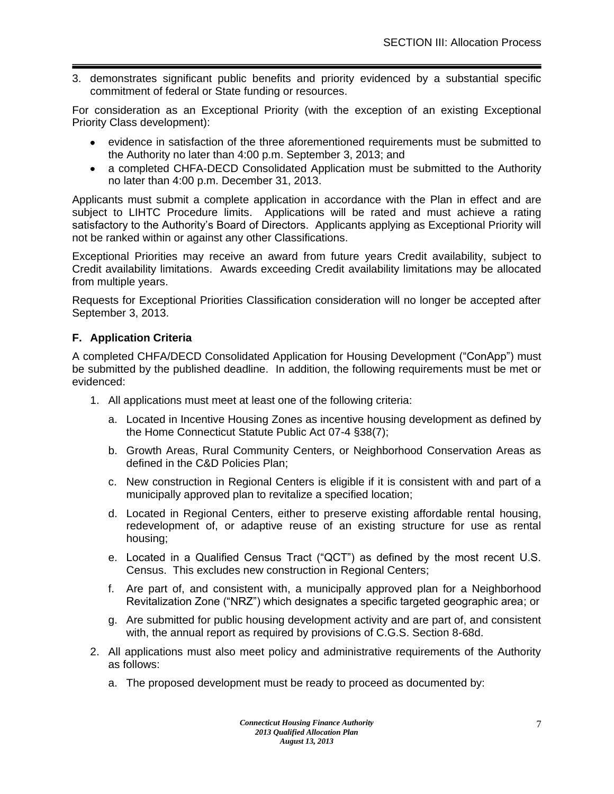3. demonstrates significant public benefits and priority evidenced by a substantial specific commitment of federal or State funding or resources.

For consideration as an Exceptional Priority (with the exception of an existing Exceptional Priority Class development):

- evidence in satisfaction of the three aforementioned requirements must be submitted to the Authority no later than 4:00 p.m. September 3, 2013; and
- a completed CHFA-DECD Consolidated Application must be submitted to the Authority no later than 4:00 p.m. December 31, 2013.

Applicants must submit a complete application in accordance with the Plan in effect and are subject to LIHTC Procedure limits. Applications will be rated and must achieve a rating satisfactory to the Authority's Board of Directors. Applicants applying as Exceptional Priority will not be ranked within or against any other Classifications.

Exceptional Priorities may receive an award from future years Credit availability, subject to Credit availability limitations. Awards exceeding Credit availability limitations may be allocated from multiple years.

Requests for Exceptional Priorities Classification consideration will no longer be accepted after September 3, 2013.

# <span id="page-7-0"></span>**F. Application Criteria**

A completed CHFA/DECD Consolidated Application for Housing Development ("ConApp") must be submitted by the published deadline. In addition, the following requirements must be met or evidenced:

- 1. All applications must meet at least one of the following criteria:
	- a. Located in Incentive Housing Zones as incentive housing development as defined by the Home Connecticut Statute Public Act 07-4 §38(7);
	- b. Growth Areas, Rural Community Centers, or Neighborhood Conservation Areas as defined in the C&D Policies Plan;
	- c. New construction in Regional Centers is eligible if it is consistent with and part of a municipally approved plan to revitalize a specified location;
	- d. Located in Regional Centers, either to preserve existing affordable rental housing, redevelopment of, or adaptive reuse of an existing structure for use as rental housing;
	- e. Located in a Qualified Census Tract ("QCT") as defined by the most recent U.S. Census. This excludes new construction in Regional Centers;
	- f. Are part of, and consistent with, a municipally approved plan for a Neighborhood Revitalization Zone ("NRZ") which designates a specific targeted geographic area; or
	- g. Are submitted for public housing development activity and are part of, and consistent with, the annual report as required by provisions of C.G.S. Section 8-68d.
- 2. All applications must also meet policy and administrative requirements of the Authority as follows:
	- a. The proposed development must be ready to proceed as documented by: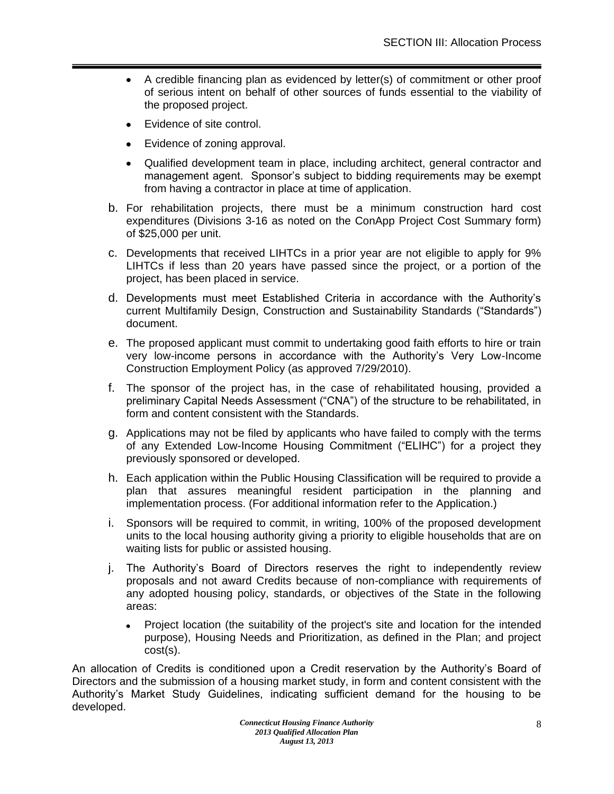- A credible financing plan as evidenced by letter(s) of commitment or other proof  $\bullet$ of serious intent on behalf of other sources of funds essential to the viability of the proposed project.
- Evidence of site control.  $\bullet$
- $\bullet$ Evidence of zoning approval.
- Qualified development team in place, including architect, general contractor and management agent. Sponsor's subject to bidding requirements may be exempt from having a contractor in place at time of application.
- b. For rehabilitation projects, there must be a minimum construction hard cost expenditures (Divisions 3-16 as noted on the ConApp Project Cost Summary form) of \$25,000 per unit.
- c. Developments that received LIHTCs in a prior year are not eligible to apply for 9% LIHTCs if less than 20 years have passed since the project, or a portion of the project, has been placed in service.
- d. Developments must meet Established Criteria in accordance with the Authority's current Multifamily Design, Construction and Sustainability Standards ("Standards") document.
- e. The proposed applicant must commit to undertaking good faith efforts to hire or train very low-income persons in accordance with the Authority's Very Low-Income Construction Employment Policy (as approved 7/29/2010).
- f. The sponsor of the project has, in the case of rehabilitated housing, provided a preliminary Capital Needs Assessment ("CNA") of the structure to be rehabilitated, in form and content consistent with the Standards.
- g. Applications may not be filed by applicants who have failed to comply with the terms of any Extended Low-Income Housing Commitment ("ELIHC") for a project they previously sponsored or developed.
- h. Each application within the Public Housing Classification will be required to provide a plan that assures meaningful resident participation in the planning and implementation process. (For additional information refer to the Application.)
- i. Sponsors will be required to commit, in writing, 100% of the proposed development units to the local housing authority giving a priority to eligible households that are on waiting lists for public or assisted housing.
- j. The Authority's Board of Directors reserves the right to independently review proposals and not award Credits because of non-compliance with requirements of any adopted housing policy, standards, or objectives of the State in the following areas:
	- Project location (the suitability of the project's site and location for the intended  $\bullet$ purpose), Housing Needs and Prioritization, as defined in the Plan; and project cost(s).

An allocation of Credits is conditioned upon a Credit reservation by the Authority's Board of Directors and the submission of a housing market study, in form and content consistent with the Authority's Market Study Guidelines, indicating sufficient demand for the housing to be developed.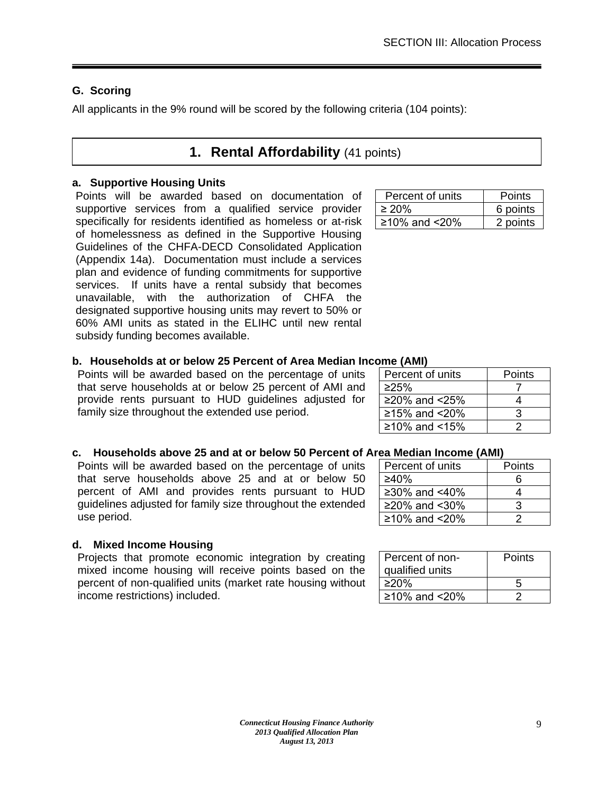# <span id="page-9-0"></span>**G. Scoring**

<span id="page-9-1"></span>All applicants in the 9% round will be scored by the following criteria (104 points):

# **1. Rental Affordability** (41 points)

# **a. Supportive Housing Units**

Points will be awarded based on documentation of supportive services from a qualified service provider specifically for residents identified as homeless or at-risk of homelessness as defined in the Supportive Housing Guidelines of the CHFA-DECD Consolidated Application (Appendix 14a). Documentation must include a services plan and evidence of funding commitments for supportive services. If units have a rental subsidy that becomes unavailable, with the authorization of CHFA the designated supportive housing units may revert to 50% or 60% AMI units as stated in the ELIHC until new rental subsidy funding becomes available.

# **b. Households at or below 25 Percent of Area Median Income (AMI)**

Points will be awarded based on the percentage of units that serve households at or below 25 percent of AMI and provide rents pursuant to HUD guidelines adjusted for family size throughout the extended use period.

| c. Households above 25 and at or below 50 Percent of Area Median Income (AMI) |  |
|-------------------------------------------------------------------------------|--|
|                                                                               |  |

Points will be awarded based on the percentage of units that serve households above 25 and at or below 50 percent of AMI and provides rents pursuant to HUD guidelines adjusted for family size throughout the extended use period.

# **d. Mixed Income Housing**

Projects that promote economic integration by creating mixed income housing will receive points based on the percent of non-qualified units (market rate housing without income restrictions) included.

| Percent of units | Points   |
|------------------|----------|
| $\geq 20\%$      | 6 points |
| ≥10% and <20%    | 2 points |

| Percent of units  | Points |  |  |
|-------------------|--------|--|--|
| ≥25%              |        |  |  |
| ≥20% and $< 25\%$ |        |  |  |
| ≥15% and $< 20\%$ | З      |  |  |
| ≥10% and <15%     |        |  |  |
|                   |        |  |  |

| Percent of units | Points |
|------------------|--------|
| $\geq 40\%$      | ิธ     |
| ≥30% and <40%    |        |
| ≥20% and <30%    | વ      |
| ≥10% and $<$ 20% |        |
|                  |        |

| Percent of non-<br>qualified units | Points |
|------------------------------------|--------|
| ≥20%                               | 5      |
| ≥10% and $< 20\%$                  |        |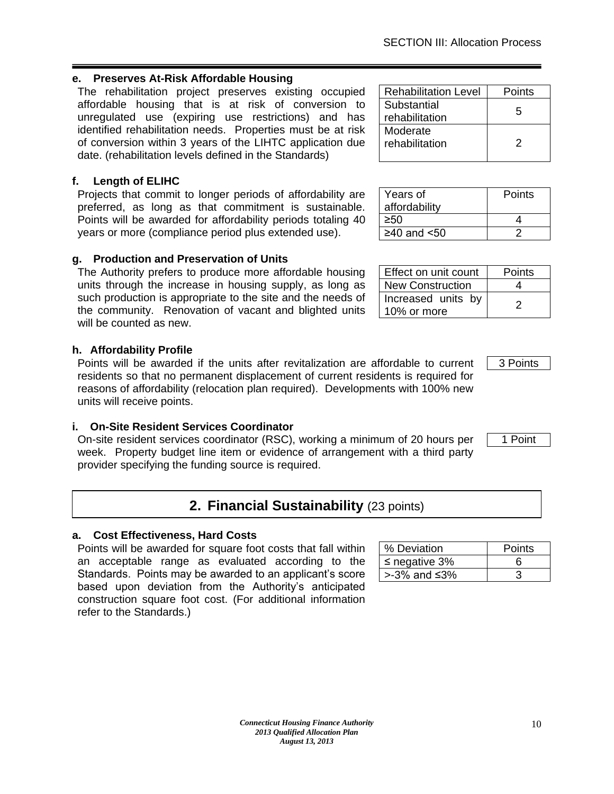10

## **e. Preserves At-Risk Affordable Housing**

The rehabilitation project preserves existing occupied affordable housing that is at risk of conversion to unregulated use (expiring use restrictions) and has identified rehabilitation needs. Properties must be at risk of conversion within 3 years of the LIHTC application due date. (rehabilitation levels defined in the Standards)

## **f. Length of ELIHC**

Projects that commit to longer periods of affordability are preferred, as long as that commitment is sustainable. Points will be awarded for affordability periods totaling 40 years or more (compliance period plus extended use).

## **g. Production and Preservation of Units**

The Authority prefers to produce more affordable housing units through the increase in housing supply, as long as such production is appropriate to the site and the needs of the community. Renovation of vacant and blighted units will be counted as new.

## **h. Affordability Profile**

Points will be awarded if the units after revitalization are affordable to current residents so that no permanent displacement of current residents is required for reasons of affordability (relocation plan required). Developments with 100% new units will receive points.

## **i. On-Site Resident Services Coordinator**

On-site resident services coordinator (RSC), working a minimum of 20 hours per week. Property budget line item or evidence of arrangement with a third party provider specifying the funding source is required.

# **2. Financial Sustainability** (23 points)

## <span id="page-10-0"></span>**a. Cost Effectiveness, Hard Costs**

Points will be awarded for square foot costs that fall within an acceptable range as evaluated according to the Standards. Points may be awarded to an applicant's score based upon deviation from the Authority's anticipated construction square foot cost. (For additional information refer to the Standards.)

| % Deviation           | Points |
|-----------------------|--------|
| $\leq$ negative 3%    |        |
| $>3\%$ and $\leq 3\%$ |        |

| Effect on unit count              | Points |
|-----------------------------------|--------|
| <b>New Construction</b>           |        |
| Increased units by<br>10% or more | 2      |

 $\geq 50$  4  $\geq 40$  and  $\leq 50$  2

3 Points

**Points** 

1 Point

| <b>Rehabilitation Level</b> | Points |
|-----------------------------|--------|
| Substantial                 | 5      |
| rehabilitation              |        |
| Moderate                    |        |
| rehabilitation              | 2      |
|                             |        |

Years of affordability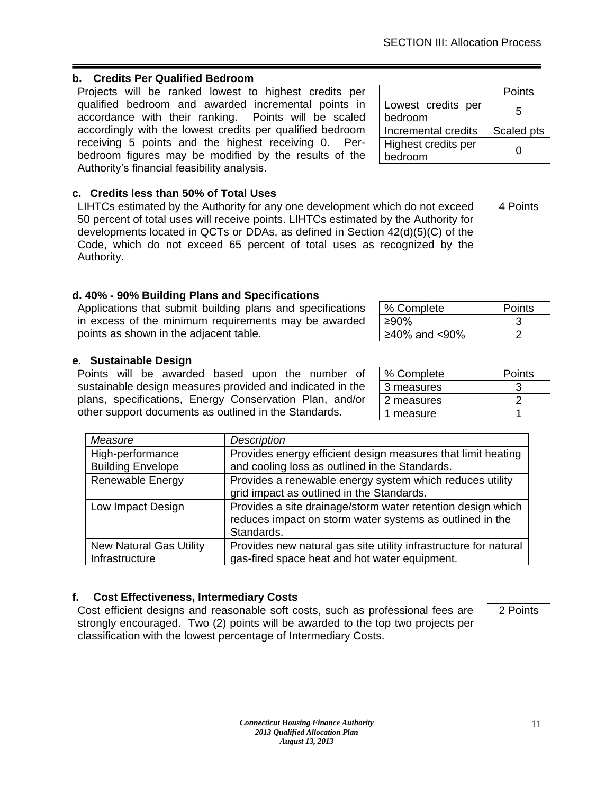# **b. Credits Per Qualified Bedroom**

Projects will be ranked lowest to highest credits per qualified bedroom and awarded incremental points in accordance with their ranking. Points will be scaled accordingly with the lowest credits per qualified bedroom receiving 5 points and the highest receiving 0. Perbedroom figures may be modified by the results of the Authority's financial feasibility analysis.

# **c. Credits less than 50% of Total Uses**

LIHTCs estimated by the Authority for any one development which do not exceed 50 percent of total uses will receive points. LIHTCs estimated by the Authority for developments located in QCTs or DDAs, as defined in Section 42(d)(5)(C) of the Code, which do not exceed 65 percent of total uses as recognized by the Authority.

# **d. 40% - 90% Building Plans and Specifications**

Applications that submit building plans and specifications in excess of the minimum requirements may be awarded points as shown in the adjacent table.

# **e. Sustainable Design**

Points will be awarded based upon the number of sustainable design measures provided and indicated in the plans, specifications, Energy Conservation Plan, and/or other support documents as outlined in the Standards.

| Measure                                          | <b>Description</b>                                                                                                                    |
|--------------------------------------------------|---------------------------------------------------------------------------------------------------------------------------------------|
| High-performance<br><b>Building Envelope</b>     | Provides energy efficient design measures that limit heating<br>and cooling loss as outlined in the Standards.                        |
| <b>Renewable Energy</b>                          | Provides a renewable energy system which reduces utility<br>grid impact as outlined in the Standards.                                 |
| Low Impact Design                                | Provides a site drainage/storm water retention design which<br>reduces impact on storm water systems as outlined in the<br>Standards. |
| <b>New Natural Gas Utility</b><br>Infrastructure | Provides new natural gas site utility infrastructure for natural<br>gas-fired space heat and hot water equipment.                     |

*Connecticut Housing Finance Authority 2013 Qualified Allocation Plan August 13, 2013*

# **f. Cost Effectiveness, Intermediary Costs**

Cost efficient designs and reasonable soft costs, such as professional fees are strongly encouraged. Two (2) points will be awarded to the top two projects per classification with the lowest percentage of Intermediary Costs.

2 Points

| % Complete | Points |
|------------|--------|
| 3 measures |        |
| 2 measures |        |
| 1 measure  |        |

% Complete | Points ≥90% 3  $≥40\%$  and <90% | 2

|                     | Points            |
|---------------------|-------------------|
| Lowest credits per  | 5                 |
| bedroom             |                   |
| Incremental credits | Scaled pts        |
| Highest credits per | $\mathbf{\Omega}$ |
| bedroom             |                   |

4 Points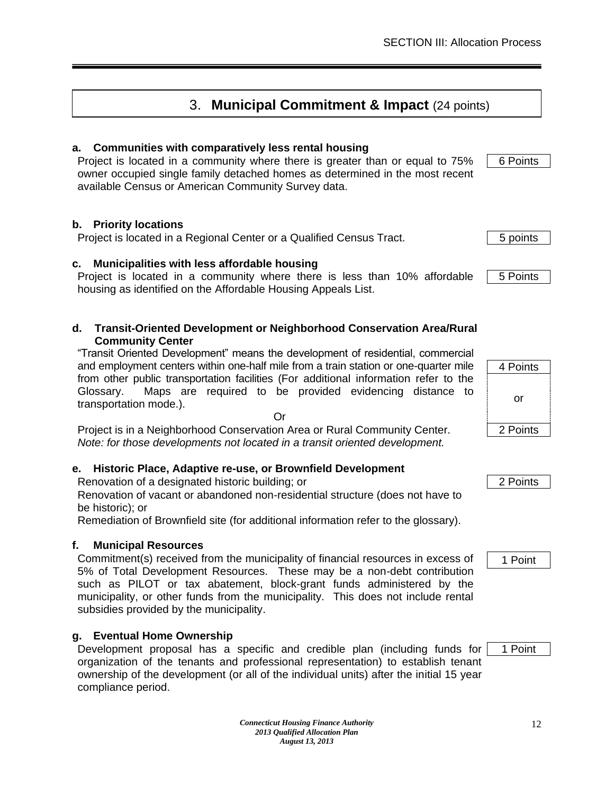# 3. **Municipal Commitment & Impact** (24 points)

# <span id="page-12-0"></span>**a. Communities with comparatively less rental housing**

Project is located in a community where there is greater than or equal to 75% owner occupied single family detached homes as determined in the most recent available Census or American Community Survey data.

## **b. Priority locations**

Project is located in a Regional Center or a Qualified Census Tract. **1998 1998 5** points

## **c. Municipalities with less affordable housing**

Project is located in a community where there is less than 10% affordable housing as identified on the Affordable Housing Appeals List.

#### **d. Transit-Oriented Development or Neighborhood Conservation Area/Rural Community Center**

"Transit Oriented Development" means the development of residential, commercial and employment centers within one-half mile from a train station or one-quarter mile from other public transportation facilities (For additional information refer to the Glossary. Maps are required to be provided evidencing distance to transportation mode.).

Or

Project is in a Neighborhood Conservation Area or Rural Community Center. *Note: for those developments not located in a transit oriented development.*

## **e. Historic Place, Adaptive re-use, or Brownfield Development**

Renovation of a designated historic building; or 2 Points 2 Points

Renovation of vacant or abandoned non-residential structure (does not have to be historic); or

Remediation of Brownfield site (for additional information refer to the glossary).

# **f. Municipal Resources**

Commitment(s) received from the municipality of financial resources in excess of 5% of Total Development Resources. These may be a non-debt contribution such as PILOT or tax abatement, block-grant funds administered by the municipality, or other funds from the municipality. This does not include rental subsidies provided by the municipality.

# **g. Eventual Home Ownership**

Development proposal has a specific and credible plan (including funds for organization of the tenants and professional representation) to establish tenant ownership of the development (or all of the individual units) after the initial 15 year compliance period.

4 Points or 2 Points

1 Point

1 Point

5 Points

6 Points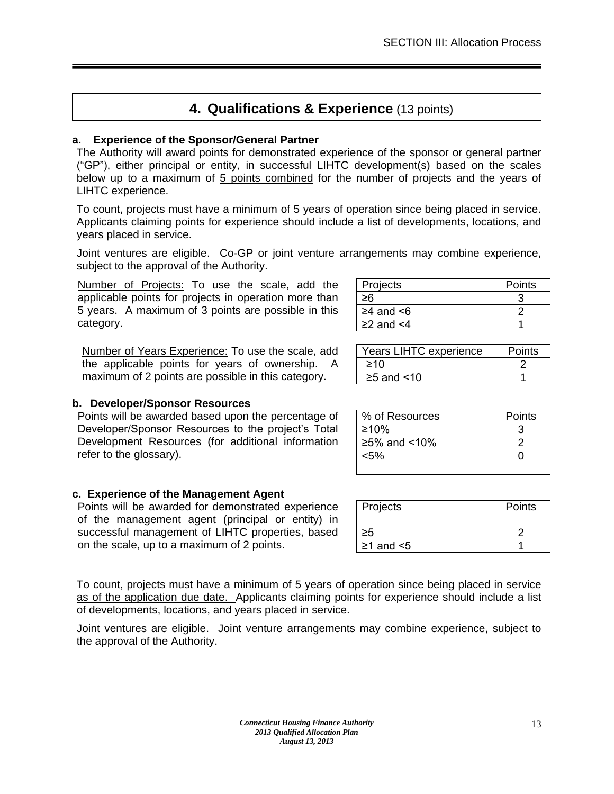# **4. Qualifications & Experience** (13 points)

## <span id="page-13-0"></span>**a. Experience of the Sponsor/General Partner**

The Authority will award points for demonstrated experience of the sponsor or general partner ("GP"), either principal or entity, in successful LIHTC development(s) based on the scales below up to a maximum of 5 points combined for the number of projects and the years of LIHTC experience.

To count, projects must have a minimum of 5 years of operation since being placed in service. Applicants claiming points for experience should include a list of developments, locations, and years placed in service.

Joint ventures are eligible. Co-GP or joint venture arrangements may combine experience, subject to the approval of the Authority.

Number of Projects: To use the scale, add the applicable points for projects in operation more than 5 years. A maximum of 3 points are possible in this category.

Number of Years Experience: To use the scale, add the applicable points for years of ownership. A maximum of 2 points are possible in this category.

## **b. Developer/Sponsor Resources**

Points will be awarded based upon the percentage of Developer/Sponsor Resources to the project's Total Development Resources (for additional information refer to the glossary).

## **c. Experience of the Management Agent**

Points will be awarded for demonstrated experience of the management agent (principal or entity) in successful management of LIHTC properties, based on the scale, up to a maximum of 2 points.

| Projects              | Points |
|-----------------------|--------|
|                       |        |
| $\geq$ 4 and $\leq$ 6 |        |
| $\geq$ 2 and $\leq$ 4 |        |

| Years LIHTC experience | Points |
|------------------------|--------|
| 210                    |        |
| $\geq$ 5 and <10       |        |

| % of Resources | Points |
|----------------|--------|
| ≥10%           |        |
| $≥5%$ and <10% |        |
| $< 5\%$        |        |
|                |        |

| Projects              | Points |
|-----------------------|--------|
|                       |        |
| $\geq$ 1 and $\leq$ 5 |        |

To count, projects must have a minimum of 5 years of operation since being placed in service as of the application due date. Applicants claiming points for experience should include a list of developments, locations, and years placed in service.

Joint ventures are eligible. Joint venture arrangements may combine experience, subject to the approval of the Authority.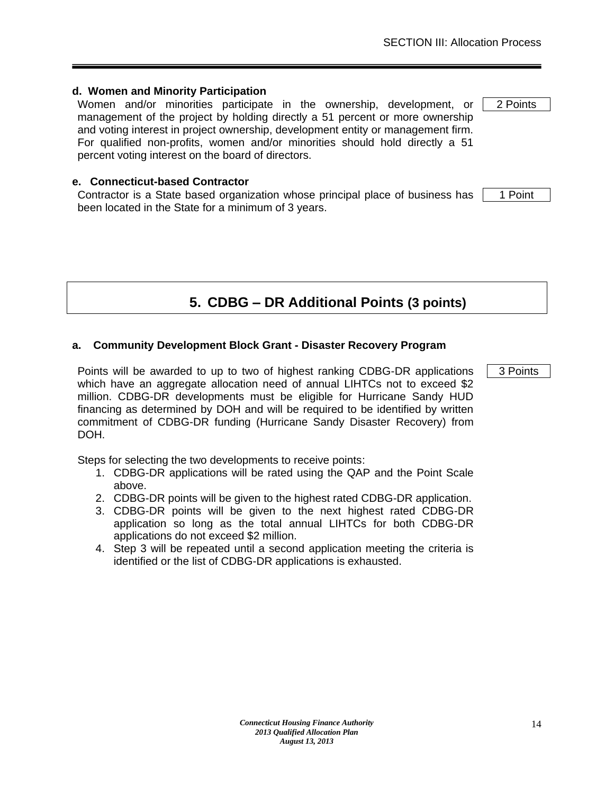Women and/or minorities participate in the ownership, development, or management of the project by holding directly a 51 percent or more ownership and voting interest in project ownership, development entity or management firm. For qualified non-profits, women and/or minorities should hold directly a 51 percent voting interest on the board of directors.

#### **e. Connecticut-based Contractor**

Contractor is a State based organization whose principal place of business has been located in the State for a minimum of 3 years.

# **5. CDBG – DR Additional Points (3 points)**

#### <span id="page-14-0"></span>**a. Community Development Block Grant - Disaster Recovery Program**

Points will be awarded to up to two of highest ranking CDBG-DR applications which have an aggregate allocation need of annual LIHTCs not to exceed \$2 million. CDBG-DR developments must be eligible for Hurricane Sandy HUD financing as determined by DOH and will be required to be identified by written commitment of CDBG-DR funding (Hurricane Sandy Disaster Recovery) from DOH.

Steps for selecting the two developments to receive points:

- 1. CDBG-DR applications will be rated using the QAP and the Point Scale above.
- 2. CDBG-DR points will be given to the highest rated CDBG-DR application.
- 3. CDBG-DR points will be given to the next highest rated CDBG-DR application so long as the total annual LIHTCs for both CDBG-DR applications do not exceed \$2 million.
- 4. Step 3 will be repeated until a second application meeting the criteria is identified or the list of CDBG-DR applications is exhausted.

1 Point

2 Points

3 Points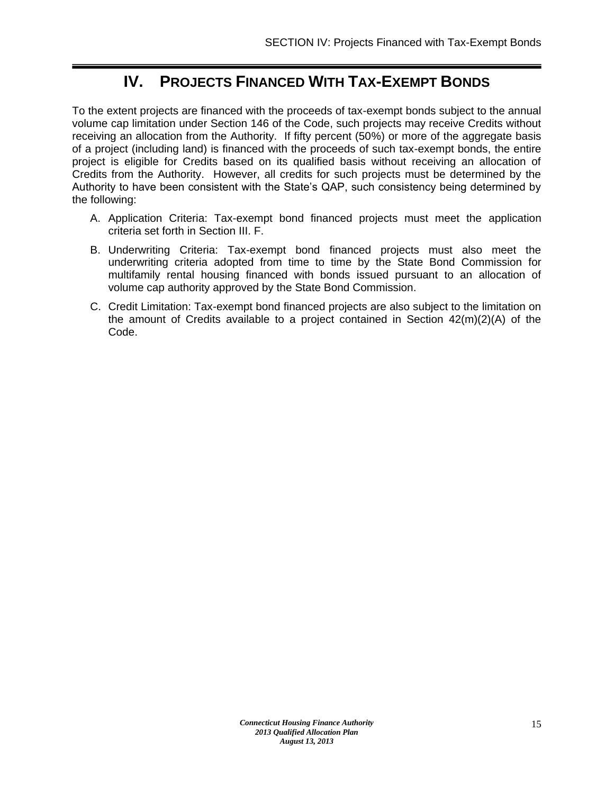# **IV. PROJECTS FINANCED WITH TAX-EXEMPT BONDS**

<span id="page-15-0"></span>To the extent projects are financed with the proceeds of tax-exempt bonds subject to the annual volume cap limitation under Section 146 of the Code, such projects may receive Credits without receiving an allocation from the Authority. If fifty percent (50%) or more of the aggregate basis of a project (including land) is financed with the proceeds of such tax-exempt bonds, the entire project is eligible for Credits based on its qualified basis without receiving an allocation of Credits from the Authority. However, all credits for such projects must be determined by the Authority to have been consistent with the State's QAP, such consistency being determined by the following:

- A. Application Criteria: Tax-exempt bond financed projects must meet the application criteria set forth in Section III. F.
- B. Underwriting Criteria: Tax-exempt bond financed projects must also meet the underwriting criteria adopted from time to time by the State Bond Commission for multifamily rental housing financed with bonds issued pursuant to an allocation of volume cap authority approved by the State Bond Commission.
- C. Credit Limitation: Tax-exempt bond financed projects are also subject to the limitation on the amount of Credits available to a project contained in Section  $42(m)(2)(A)$  of the Code.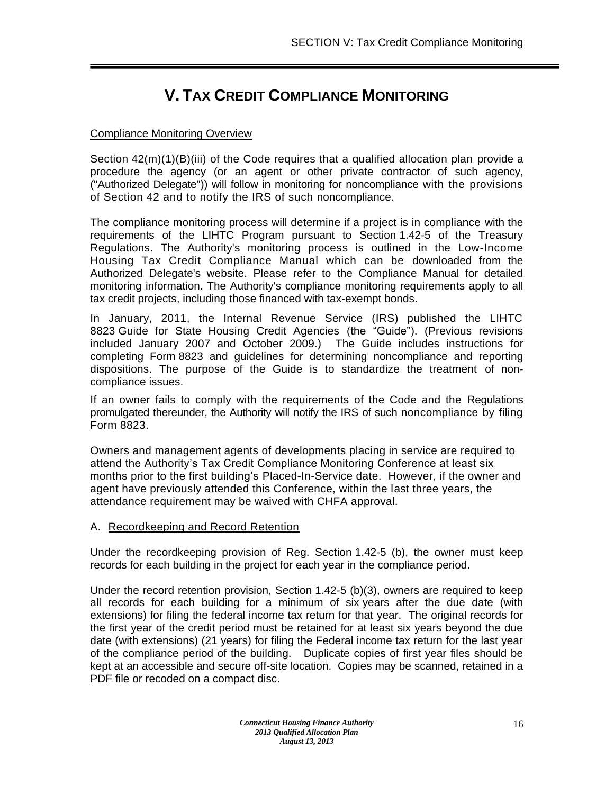# **V. TAX CREDIT COMPLIANCE MONITORING**

## <span id="page-16-0"></span>Compliance Monitoring Overview

Section  $42(m)(1)(B)(iii)$  of the Code requires that a qualified allocation plan provide a procedure the agency (or an agent or other private contractor of such agency, ("Authorized Delegate")) will follow in monitoring for noncompliance with the provisions of Section 42 and to notify the IRS of such noncompliance.

The compliance monitoring process will determine if a project is in compliance with the requirements of the LIHTC Program pursuant to Section 1.42-5 of the Treasury Regulations. The Authority's monitoring process is outlined in the Low-Income Housing Tax Credit Compliance Manual which can be downloaded from the Authorized Delegate's website. Please refer to the Compliance Manual for detailed monitoring information. The Authority's compliance monitoring requirements apply to all tax credit projects, including those financed with tax-exempt bonds.

In January, 2011, the Internal Revenue Service (IRS) published the LIHTC 8823 Guide for State Housing Credit Agencies (the "Guide"). (Previous revisions included January 2007 and October 2009.) The Guide includes instructions for completing Form 8823 and guidelines for determining noncompliance and reporting dispositions. The purpose of the Guide is to standardize the treatment of noncompliance issues.

If an owner fails to comply with the requirements of the Code and the Regulations promulgated thereunder, the Authority will notify the IRS of such noncompliance by filing Form 8823.

Owners and management agents of developments placing in service are required to attend the Authority's Tax Credit Compliance Monitoring Conference at least six months prior to the first building's Placed-In-Service date. However, if the owner and agent have previously attended this Conference, within the last three years, the attendance requirement may be waived with CHFA approval.

## A. Recordkeeping and Record Retention

Under the recordkeeping provision of Reg. Section 1.42-5 (b), the owner must keep records for each building in the project for each year in the compliance period.

Under the record retention provision, Section 1.42-5 (b)(3), owners are required to keep all records for each building for a minimum of six years after the due date (with extensions) for filing the federal income tax return for that year. The original records for the first year of the credit period must be retained for at least six years beyond the due date (with extensions) (21 years) for filing the Federal income tax return for the last year of the compliance period of the building. Duplicate copies of first year files should be kept at an accessible and secure off-site location. Copies may be scanned, retained in a PDF file or recoded on a compact disc.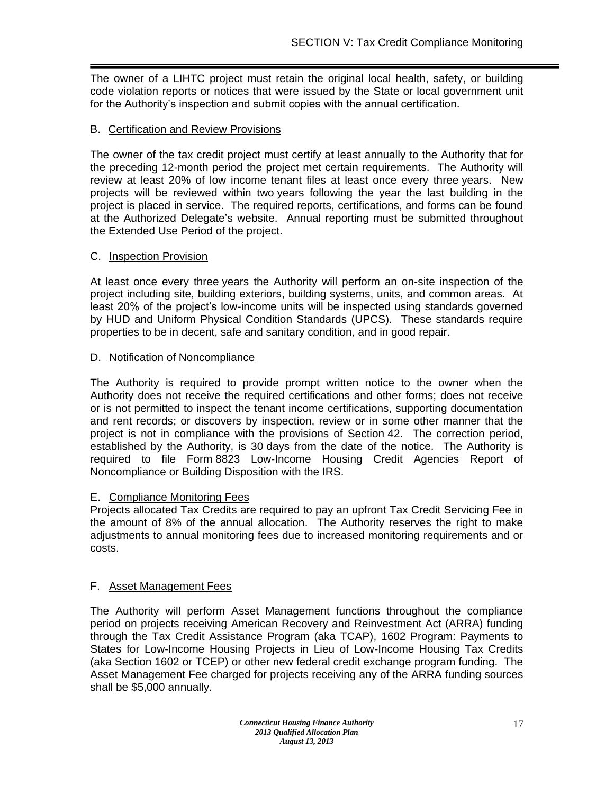The owner of a LIHTC project must retain the original local health, safety, or building code violation reports or notices that were issued by the State or local government unit for the Authority's inspection and submit copies with the annual certification.

## B. Certification and Review Provisions

The owner of the tax credit project must certify at least annually to the Authority that for the preceding 12-month period the project met certain requirements. The Authority will review at least 20% of low income tenant files at least once every three years. New projects will be reviewed within two years following the year the last building in the project is placed in service. The required reports, certifications, and forms can be found at the Authorized Delegate's website. Annual reporting must be submitted throughout the Extended Use Period of the project.

#### C. Inspection Provision

At least once every three years the Authority will perform an on-site inspection of the project including site, building exteriors, building systems, units, and common areas. At least 20% of the project's low-income units will be inspected using standards governed by HUD and Uniform Physical Condition Standards (UPCS). These standards require properties to be in decent, safe and sanitary condition, and in good repair.

#### D. Notification of Noncompliance

The Authority is required to provide prompt written notice to the owner when the Authority does not receive the required certifications and other forms; does not receive or is not permitted to inspect the tenant income certifications, supporting documentation and rent records; or discovers by inspection, review or in some other manner that the project is not in compliance with the provisions of Section 42. The correction period, established by the Authority, is 30 days from the date of the notice. The Authority is required to file Form 8823 Low-Income Housing Credit Agencies Report of Noncompliance or Building Disposition with the IRS.

## E. Compliance Monitoring Fees

Projects allocated Tax Credits are required to pay an upfront Tax Credit Servicing Fee in the amount of 8% of the annual allocation. The Authority reserves the right to make adjustments to annual monitoring fees due to increased monitoring requirements and or costs.

## F. Asset Management Fees

The Authority will perform Asset Management functions throughout the compliance period on projects receiving American Recovery and Reinvestment Act (ARRA) funding through the Tax Credit Assistance Program (aka TCAP), 1602 Program: Payments to States for Low-Income Housing Projects in Lieu of Low-Income Housing Tax Credits (aka Section 1602 or TCEP) or other new federal credit exchange program funding. The Asset Management Fee charged for projects receiving any of the ARRA funding sources shall be \$5,000 annually.